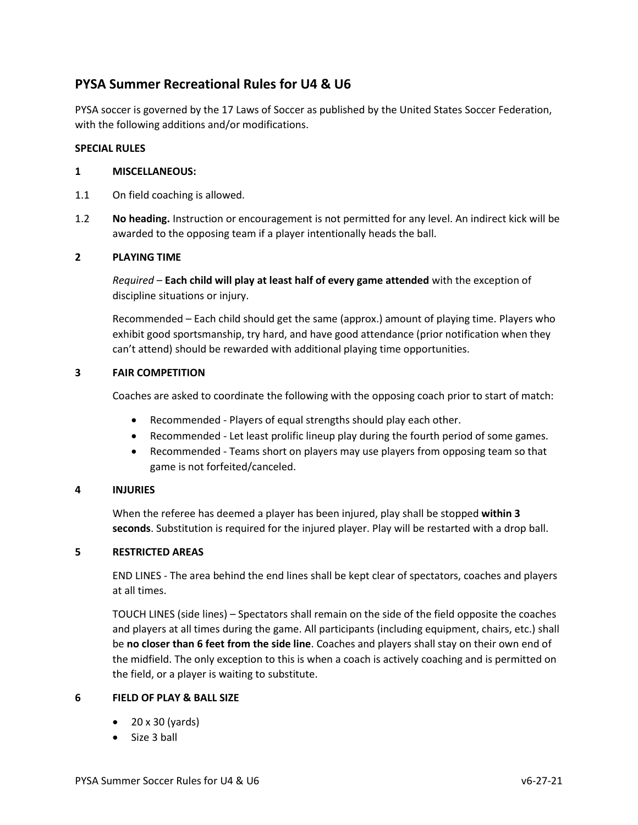# **PYSA Summer Recreational Rules for U4 & U6**

PYSA soccer is governed by the 17 Laws of Soccer as published by the United States Soccer Federation, with the following additions and/or modifications.

## **SPECIAL RULES**

## **1 MISCELLANEOUS:**

- 1.1 On field coaching is allowed.
- 1.2 **No heading.** Instruction or encouragement is not permitted for any level. An indirect kick will be awarded to the opposing team if a player intentionally heads the ball.

# **2 PLAYING TIME**

*Required* – **Each child will play at least half of every game attended** with the exception of discipline situations or injury.

Recommended – Each child should get the same (approx.) amount of playing time. Players who exhibit good sportsmanship, try hard, and have good attendance (prior notification when they can't attend) should be rewarded with additional playing time opportunities.

# **3 FAIR COMPETITION**

Coaches are asked to coordinate the following with the opposing coach prior to start of match:

- Recommended ‐ Players of equal strengths should play each other.
- Recommended Let least prolific lineup play during the fourth period of some games.
- Recommended Teams short on players may use players from opposing team so that game is not forfeited/canceled.

## **4 INJURIES**

When the referee has deemed a player has been injured, play shall be stopped **within 3 seconds**. Substitution is required for the injured player. Play will be restarted with a drop ball.

## **5 RESTRICTED AREAS**

END LINES - The area behind the end lines shall be kept clear of spectators, coaches and players at all times.

TOUCH LINES (side lines) – Spectators shall remain on the side of the field opposite the coaches and players at all times during the game. All participants (including equipment, chairs, etc.) shall be **no closer than 6 feet from the side line**. Coaches and players shall stay on their own end of the midfield. The only exception to this is when a coach is actively coaching and is permitted on the field, or a player is waiting to substitute.

## **6 FIELD OF PLAY & BALL SIZE**

- 20 x 30 (yards)
- Size 3 ball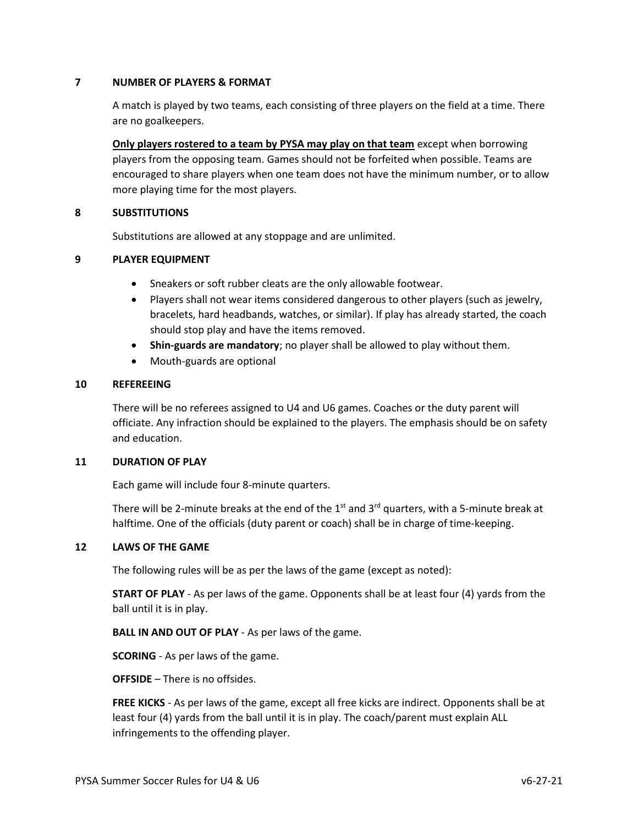## **7 NUMBER OF PLAYERS & FORMAT**

A match is played by two teams, each consisting of three players on the field at a time. There are no goalkeepers.

**Only players rostered to a team by PYSA may play on that team** except when borrowing players from the opposing team. Games should not be forfeited when possible. Teams are encouraged to share players when one team does not have the minimum number, or to allow more playing time for the most players.

# **8 SUBSTITUTIONS**

Substitutions are allowed at any stoppage and are unlimited.

#### **9 PLAYER EQUIPMENT**

- Sneakers or soft rubber cleats are the only allowable footwear.
- Players shall not wear items considered dangerous to other players (such as jewelry, bracelets, hard headbands, watches, or similar). If play has already started, the coach should stop play and have the items removed.
- **Shin‐guards are mandatory**; no player shall be allowed to play without them.
- Mouth‐guards are optional

#### **10 REFEREEING**

There will be no referees assigned to U4 and U6 games. Coaches or the duty parent will officiate. Any infraction should be explained to the players. The emphasis should be on safety and education.

#### **11 DURATION OF PLAY**

Each game will include four 8-minute quarters.

There will be 2-minute breaks at the end of the 1st and 3<sup>rd</sup> quarters, with a 5-minute break at halftime. One of the officials (duty parent or coach) shall be in charge of time-keeping.

#### **12 LAWS OF THE GAME**

The following rules will be as per the laws of the game (except as noted):

**START OF PLAY** - As per laws of the game. Opponents shall be at least four (4) yards from the ball until it is in play.

**BALL IN AND OUT OF PLAY** - As per laws of the game.

**SCORING** - As per laws of the game.

**OFFSIDE** – There is no offsides.

**FREE KICKS** - As per laws of the game, except all free kicks are indirect. Opponents shall be at least four (4) yards from the ball until it is in play. The coach/parent must explain ALL infringements to the offending player.